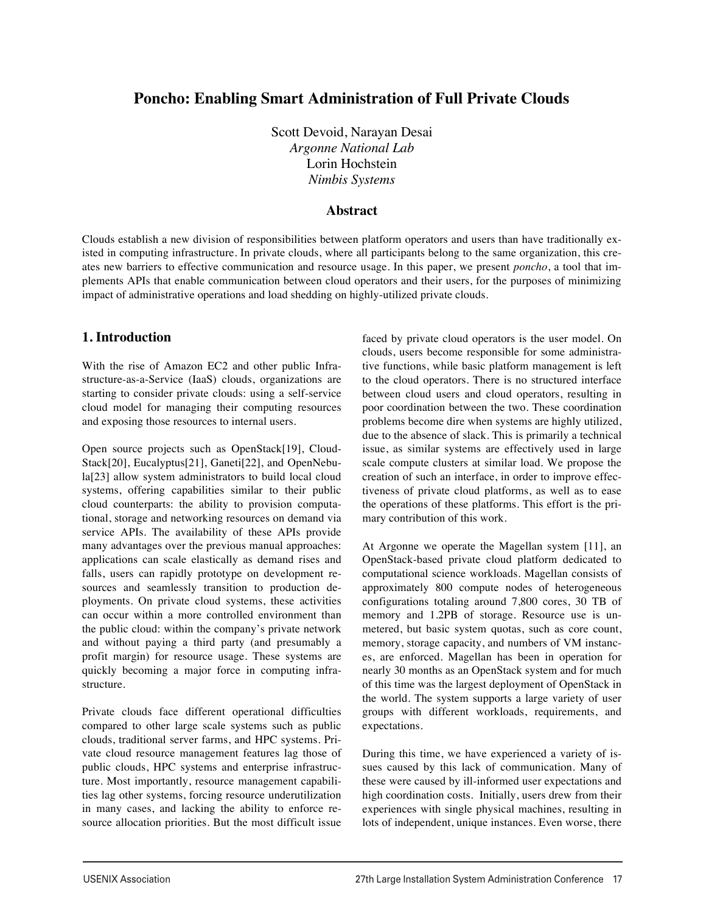# **Poncho: Enabling Smart Administration of Full Private Clouds**

Scott Devoid, Narayan Desai *Argonne National Lab* Lorin Hochstein *Nimbis Systems*

#### **Abstract**

Clouds establish a new division of responsibilities between platform operators and users than have traditionally existed in computing infrastructure. In private clouds, where all participants belong to the same organization, this creates new barriers to effective communication and resource usage. In this paper, we present *poncho*, a tool that implements APIs that enable communication between cloud operators and their users, for the purposes of minimizing impact of administrative operations and load shedding on highly-utilized private clouds.

#### **1. Introduction**

With the rise of Amazon EC2 and other public Infrastructure-as-a-Service (IaaS) clouds, organizations are starting to consider private clouds: using a self-service cloud model for managing their computing resources and exposing those resources to internal users.

Open source projects such as OpenStack[19], Cloud-Stack[20], Eucalyptus[21], Ganeti[22], and OpenNebula[23] allow system administrators to build local cloud systems, offering capabilities similar to their public cloud counterparts: the ability to provision computational, storage and networking resources on demand via service APIs. The availability of these APIs provide many advantages over the previous manual approaches: applications can scale elastically as demand rises and falls, users can rapidly prototype on development resources and seamlessly transition to production deployments. On private cloud systems, these activities can occur within a more controlled environment than the public cloud: within the company's private network and without paying a third party (and presumably a profit margin) for resource usage. These systems are quickly becoming a major force in computing infrastructure.

Private clouds face different operational difficulties compared to other large scale systems such as public clouds, traditional server farms, and HPC systems. Private cloud resource management features lag those of public clouds, HPC systems and enterprise infrastructure. Most importantly, resource management capabilities lag other systems, forcing resource underutilization in many cases, and lacking the ability to enforce resource allocation priorities. But the most difficult issue faced by private cloud operators is the user model. On clouds, users become responsible for some administrative functions, while basic platform management is left to the cloud operators. There is no structured interface between cloud users and cloud operators, resulting in poor coordination between the two. These coordination problems become dire when systems are highly utilized, due to the absence of slack. This is primarily a technical issue, as similar systems are effectively used in large scale compute clusters at similar load. We propose the creation of such an interface, in order to improve effectiveness of private cloud platforms, as well as to ease the operations of these platforms. This effort is the primary contribution of this work.

At Argonne we operate the Magellan system [11], an OpenStack-based private cloud platform dedicated to computational science workloads. Magellan consists of approximately 800 compute nodes of heterogeneous configurations totaling around 7,800 cores, 30 TB of memory and 1.2PB of storage. Resource use is unmetered, but basic system quotas, such as core count, memory, storage capacity, and numbers of VM instances, are enforced. Magellan has been in operation for nearly 30 months as an OpenStack system and for much of this time was the largest deployment of OpenStack in the world. The system supports a large variety of user groups with different workloads, requirements, and expectations.

During this time, we have experienced a variety of issues caused by this lack of communication. Many of these were caused by ill-informed user expectations and high coordination costs. Initially, users drew from their experiences with single physical machines, resulting in lots of independent, unique instances. Even worse, there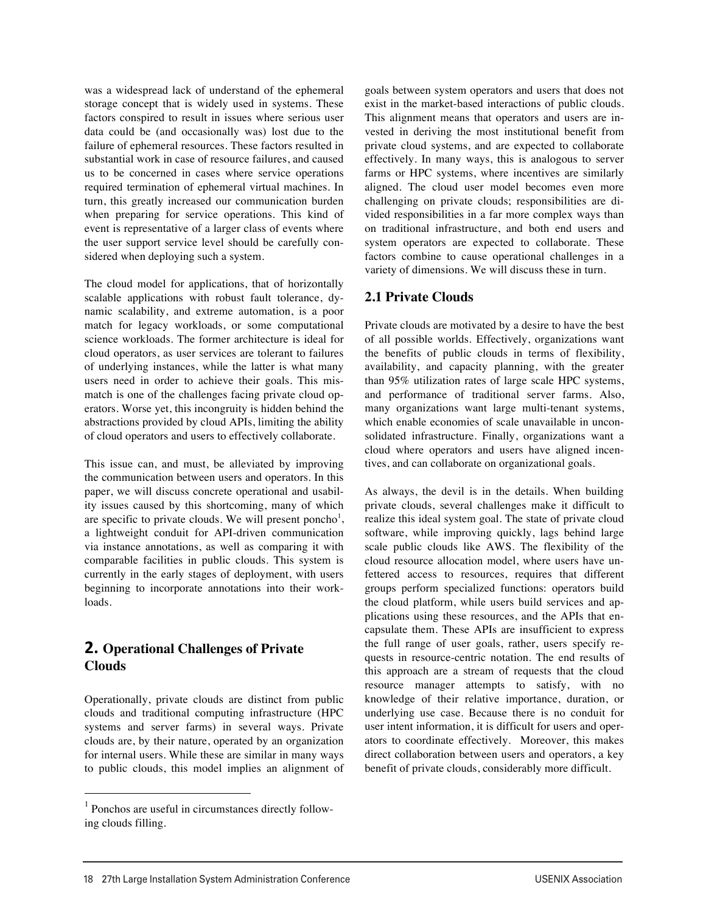was a widespread lack of understand of the ephemeral storage concept that is widely used in systems. These factors conspired to result in issues where serious user data could be (and occasionally was) lost due to the failure of ephemeral resources. These factors resulted in substantial work in case of resource failures, and caused us to be concerned in cases where service operations required termination of ephemeral virtual machines. In turn, this greatly increased our communication burden when preparing for service operations. This kind of event is representative of a larger class of events where the user support service level should be carefully considered when deploying such a system.

The cloud model for applications, that of horizontally scalable applications with robust fault tolerance, dynamic scalability, and extreme automation, is a poor match for legacy workloads, or some computational science workloads. The former architecture is ideal for cloud operators, as user services are tolerant to failures of underlying instances, while the latter is what many users need in order to achieve their goals. This mismatch is one of the challenges facing private cloud operators. Worse yet, this incongruity is hidden behind the abstractions provided by cloud APIs, limiting the ability of cloud operators and users to effectively collaborate.

This issue can, and must, be alleviated by improving the communication between users and operators. In this paper, we will discuss concrete operational and usability issues caused by this shortcoming, many of which are specific to private clouds. We will present poncho<sup>1</sup>, a lightweight conduit for API-driven communication via instance annotations, as well as comparing it with comparable facilities in public clouds. This system is currently in the early stages of deployment, with users beginning to incorporate annotations into their workloads.

# **2. 
Operational Challenges of Private Clouds**

Operationally, private clouds are distinct from public clouds and traditional computing infrastructure (HPC systems and server farms) in several ways. Private clouds are, by their nature, operated by an organization for internal users. While these are similar in many ways to public clouds, this model implies an alignment of goals between system operators and users that does not exist in the market-based interactions of public clouds. This alignment means that operators and users are invested in deriving the most institutional benefit from private cloud systems, and are expected to collaborate effectively. In many ways, this is analogous to server farms or HPC systems, where incentives are similarly aligned. The cloud user model becomes even more challenging on private clouds; responsibilities are divided responsibilities in a far more complex ways than on traditional infrastructure, and both end users and system operators are expected to collaborate. These factors combine to cause operational challenges in a variety of dimensions. We will discuss these in turn.

# **2.1 Private Clouds**

Private clouds are motivated by a desire to have the best of all possible worlds. Effectively, organizations want the benefits of public clouds in terms of flexibility, availability, and capacity planning, with the greater than 95% utilization rates of large scale HPC systems, and performance of traditional server farms. Also, many organizations want large multi-tenant systems, which enable economies of scale unavailable in unconsolidated infrastructure. Finally, organizations want a cloud where operators and users have aligned incentives, and can collaborate on organizational goals.

As always, the devil is in the details. When building private clouds, several challenges make it difficult to realize this ideal system goal. The state of private cloud software, while improving quickly, lags behind large scale public clouds like AWS. The flexibility of the cloud resource allocation model, where users have unfettered access to resources, requires that different groups perform specialized functions: operators build the cloud platform, while users build services and applications using these resources, and the APIs that encapsulate them. These APIs are insufficient to express the full range of user goals, rather, users specify requests in resource-centric notation. The end results of this approach are a stream of requests that the cloud resource manager attempts to satisfy, with no knowledge of their relative importance, duration, or underlying use case. Because there is no conduit for user intent information, it is difficult for users and operators to coordinate effectively. Moreover, this makes direct collaboration between users and operators, a key benefit of private clouds, considerably more difficult.

 $1$  Ponchos are useful in circumstances directly following clouds filling.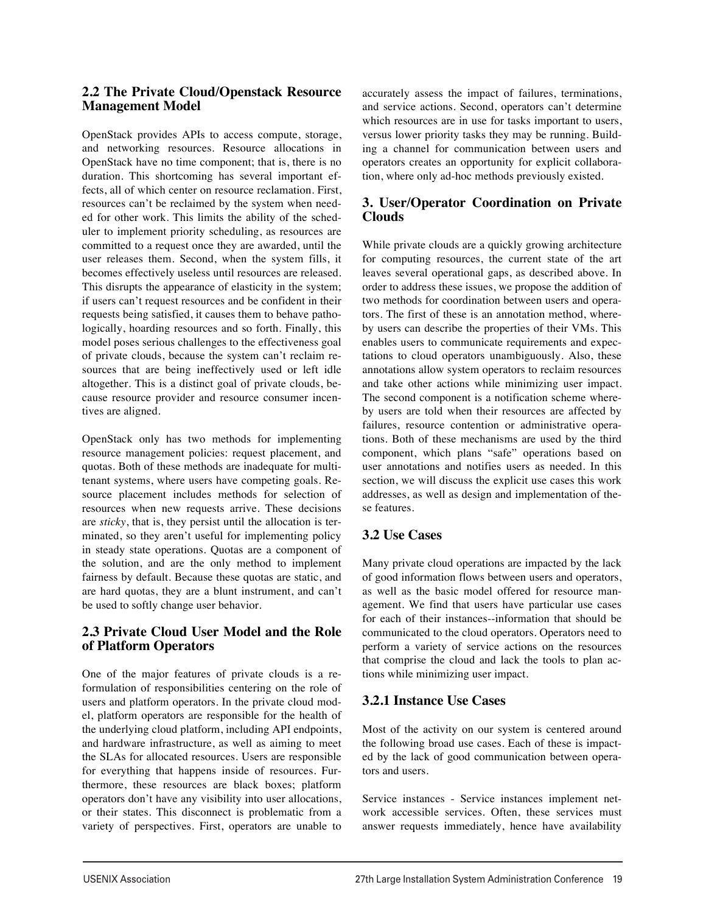#### **2.2 The Private Cloud/Openstack Resource Management Model**

OpenStack provides APIs to access compute, storage, and networking resources. Resource allocations in OpenStack have no time component; that is, there is no duration. This shortcoming has several important effects, all of which center on resource reclamation. First, resources can't be reclaimed by the system when needed for other work. This limits the ability of the scheduler to implement priority scheduling, as resources are committed to a request once they are awarded, until the user releases them. Second, when the system fills, it becomes effectively useless until resources are released. This disrupts the appearance of elasticity in the system; if users can't request resources and be confident in their requests being satisfied, it causes them to behave pathologically, hoarding resources and so forth. Finally, this model poses serious challenges to the effectiveness goal of private clouds, because the system can't reclaim resources that are being ineffectively used or left idle altogether. This is a distinct goal of private clouds, because resource provider and resource consumer incentives are aligned.

OpenStack only has two methods for implementing resource management policies: request placement, and quotas. Both of these methods are inadequate for multitenant systems, where users have competing goals. Resource placement includes methods for selection of resources when new requests arrive. These decisions are *sticky*, that is, they persist until the allocation is terminated, so they aren't useful for implementing policy in steady state operations. Quotas are a component of the solution, and are the only method to implement fairness by default. Because these quotas are static, and are hard quotas, they are a blunt instrument, and can't be used to softly change user behavior.

# **2.3 Private Cloud User Model and the Role of Platform Operators**

One of the major features of private clouds is a reformulation of responsibilities centering on the role of users and platform operators. In the private cloud model, platform operators are responsible for the health of the underlying cloud platform, including API endpoints, and hardware infrastructure, as well as aiming to meet the SLAs for allocated resources. Users are responsible for everything that happens inside of resources. Furthermore, these resources are black boxes; platform operators don't have any visibility into user allocations, or their states. This disconnect is problematic from a variety of perspectives. First, operators are unable to accurately assess the impact of failures, terminations, and service actions. Second, operators can't determine which resources are in use for tasks important to users, versus lower priority tasks they may be running. Building a channel for communication between users and operators creates an opportunity for explicit collaboration, where only ad-hoc methods previously existed.

# **3. User/Operator Coordination on Private Clouds**

While private clouds are a quickly growing architecture for computing resources, the current state of the art leaves several operational gaps, as described above. In order to address these issues, we propose the addition of two methods for coordination between users and operators. The first of these is an annotation method, whereby users can describe the properties of their VMs. This enables users to communicate requirements and expectations to cloud operators unambiguously. Also, these annotations allow system operators to reclaim resources and take other actions while minimizing user impact. The second component is a notification scheme whereby users are told when their resources are affected by failures, resource contention or administrative operations. Both of these mechanisms are used by the third component, which plans "safe" operations based on user annotations and notifies users as needed. In this section, we will discuss the explicit use cases this work addresses, as well as design and implementation of these features.

# **3.2 Use Cases**

Many private cloud operations are impacted by the lack of good information flows between users and operators, as well as the basic model offered for resource management. We find that users have particular use cases for each of their instances--information that should be communicated to the cloud operators. Operators need to perform a variety of service actions on the resources that comprise the cloud and lack the tools to plan actions while minimizing user impact.

# **3.2.1 Instance Use Cases**

Most of the activity on our system is centered around the following broad use cases. Each of these is impacted by the lack of good communication between operators and users.

Service instances - Service instances implement network accessible services. Often, these services must answer requests immediately, hence have availability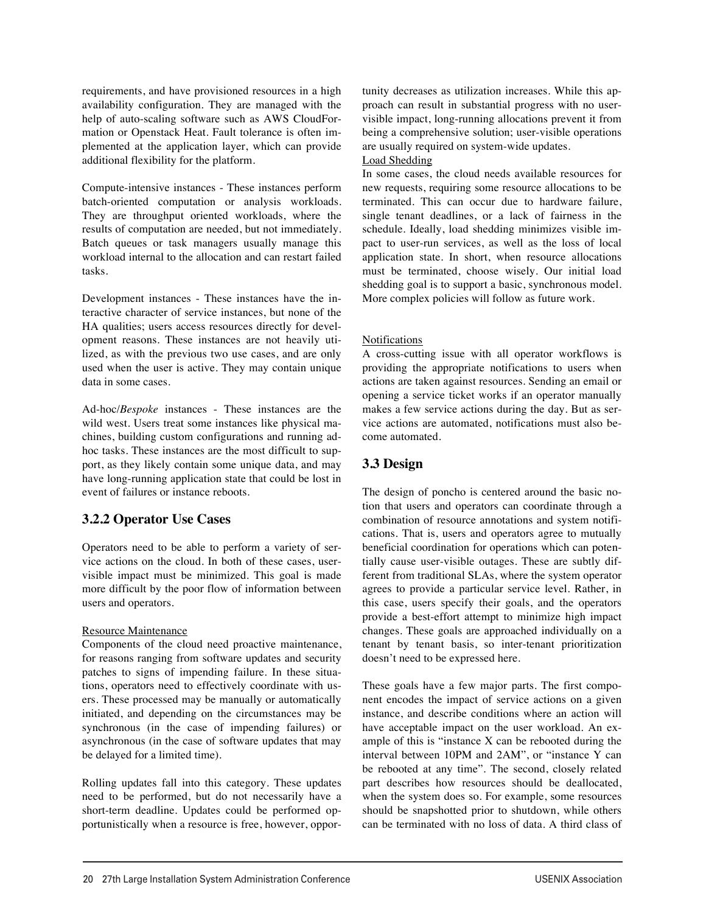requirements, and have provisioned resources in a high availability configuration. They are managed with the help of auto-scaling software such as AWS CloudFormation or Openstack Heat. Fault tolerance is often implemented at the application layer, which can provide additional flexibility for the platform.

Compute-intensive instances - These instances perform batch-oriented computation or analysis workloads. They are throughput oriented workloads, where the results of computation are needed, but not immediately. Batch queues or task managers usually manage this workload internal to the allocation and can restart failed tasks.

Development instances - These instances have the interactive character of service instances, but none of the HA qualities; users access resources directly for development reasons. These instances are not heavily utilized, as with the previous two use cases, and are only used when the user is active. They may contain unique data in some cases.

Ad-hoc/*Bespoke* instances - These instances are the wild west. Users treat some instances like physical machines, building custom configurations and running adhoc tasks. These instances are the most difficult to support, as they likely contain some unique data, and may have long-running application state that could be lost in event of failures or instance reboots.

#### **3.2.2 Operator Use Cases**

Operators need to be able to perform a variety of service actions on the cloud. In both of these cases, uservisible impact must be minimized. This goal is made more difficult by the poor flow of information between users and operators.

#### Resource Maintenance

Components of the cloud need proactive maintenance, for reasons ranging from software updates and security patches to signs of impending failure. In these situations, operators need to effectively coordinate with users. These processed may be manually or automatically initiated, and depending on the circumstances may be synchronous (in the case of impending failures) or asynchronous (in the case of software updates that may be delayed for a limited time).

Rolling updates fall into this category. These updates need to be performed, but do not necessarily have a short-term deadline. Updates could be performed opportunistically when a resource is free, however, opportunity decreases as utilization increases. While this approach can result in substantial progress with no uservisible impact, long-running allocations prevent it from being a comprehensive solution; user-visible operations are usually required on system-wide updates.

Load Shedding

In some cases, the cloud needs available resources for new requests, requiring some resource allocations to be terminated. This can occur due to hardware failure, single tenant deadlines, or a lack of fairness in the schedule. Ideally, load shedding minimizes visible impact to user-run services, as well as the loss of local application state. In short, when resource allocations must be terminated, choose wisely. Our initial load shedding goal is to support a basic, synchronous model. More complex policies will follow as future work.

#### Notifications

A cross-cutting issue with all operator workflows is providing the appropriate notifications to users when actions are taken against resources. Sending an email or opening a service ticket works if an operator manually makes a few service actions during the day. But as service actions are automated, notifications must also become automated.

# **3.3 Design**

The design of poncho is centered around the basic notion that users and operators can coordinate through a combination of resource annotations and system notifications. That is, users and operators agree to mutually beneficial coordination for operations which can potentially cause user-visible outages. These are subtly different from traditional SLAs, where the system operator agrees to provide a particular service level. Rather, in this case, users specify their goals, and the operators provide a best-effort attempt to minimize high impact changes. These goals are approached individually on a tenant by tenant basis, so inter-tenant prioritization doesn't need to be expressed here.

These goals have a few major parts. The first component encodes the impact of service actions on a given instance, and describe conditions where an action will have acceptable impact on the user workload. An example of this is "instance X can be rebooted during the interval between 10PM and 2AM", or "instance Y can be rebooted at any time". The second, closely related part describes how resources should be deallocated, when the system does so. For example, some resources should be snapshotted prior to shutdown, while others can be terminated with no loss of data. A third class of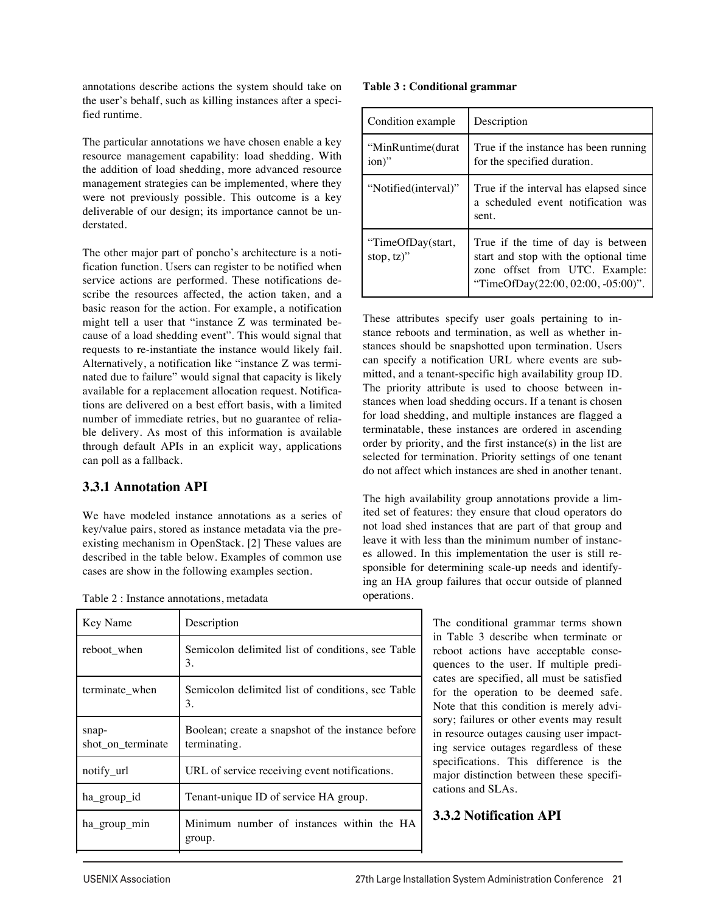annotations describe actions the system should take on the user's behalf, such as killing instances after a specified runtime.

The particular annotations we have chosen enable a key resource management capability: load shedding. With the addition of load shedding, more advanced resource management strategies can be implemented, where they were not previously possible. This outcome is a key deliverable of our design; its importance cannot be understated.

The other major part of poncho's architecture is a notification function. Users can register to be notified when service actions are performed. These notifications describe the resources affected, the action taken, and a basic reason for the action. For example, a notification might tell a user that "instance Z was terminated because of a load shedding event". This would signal that requests to re-instantiate the instance would likely fail. Alternatively, a notification like "instance Z was terminated due to failure" would signal that capacity is likely available for a replacement allocation request. Notifications are delivered on a best effort basis, with a limited number of immediate retries, but no guarantee of reliable delivery. As most of this information is available through default APIs in an explicit way, applications can poll as a fallback.

# **3.3.1 Annotation API**

We have modeled instance annotations as a series of key/value pairs, stored as instance metadata via the preexisting mechanism in OpenStack. [2] These values are described in the table below. Examples of common use cases are show in the following examples section.

Table 2 : Instance annotations, metadata

| Key Name                   | Description                                                       |
|----------------------------|-------------------------------------------------------------------|
| reboot when                | Semicolon delimited list of conditions, see Table<br>3.           |
| terminate when             | Semicolon delimited list of conditions, see Table<br>3.           |
| snap-<br>shot on terminate | Boolean; create a snapshot of the instance before<br>terminating. |
| notify_url                 | URL of service receiving event notifications.                     |
| ha_group_id                | Tenant-unique ID of service HA group.                             |
| ha_group_min               | Minimum number of instances within the HA<br>group.               |
|                            |                                                                   |

#### **Table 3 : Conditional grammar**

| Condition example                  | Description                                                                                                                                         |
|------------------------------------|-----------------------------------------------------------------------------------------------------------------------------------------------------|
| "MinRuntime(durat<br>ion)"         | True if the instance has been running<br>for the specified duration.                                                                                |
| "Notified(interval)"               | True if the interval has elapsed since<br>a scheduled event notification was<br>sent.                                                               |
| "TimeOfDay(start,<br>stop, $(z)$ " | True if the time of day is between<br>start and stop with the optional time<br>zone offset from UTC. Example:<br>"TimeOfDay(22:00, 02:00, -05:00)". |

These attributes specify user goals pertaining to instance reboots and termination, as well as whether instances should be snapshotted upon termination. Users can specify a notification URL where events are submitted, and a tenant-specific high availability group ID. The priority attribute is used to choose between instances when load shedding occurs. If a tenant is chosen for load shedding, and multiple instances are flagged a terminatable, these instances are ordered in ascending order by priority, and the first instance(s) in the list are selected for termination. Priority settings of one tenant do not affect which instances are shed in another tenant.

The high availability group annotations provide a limited set of features: they ensure that cloud operators do not load shed instances that are part of that group and leave it with less than the minimum number of instances allowed. In this implementation the user is still responsible for determining scale-up needs and identifying an HA group failures that occur outside of planned operations.

> The conditional grammar terms shown in Table 3 describe when terminate or reboot actions have acceptable consequences to the user. If multiple predicates are specified, all must be satisfied for the operation to be deemed safe. Note that this condition is merely advisory; failures or other events may result in resource outages causing user impacting service outages regardless of these specifications. This difference is the major distinction between these specifications and SLAs.

# **3.3.2 Notification API**

priority A non-negative integer.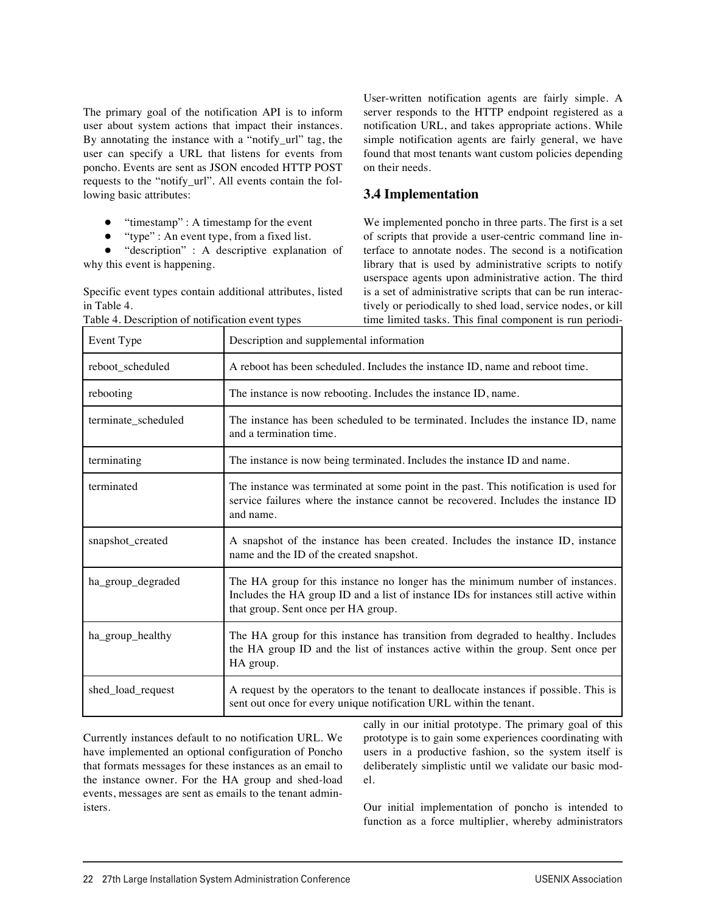The primary goal of the notification API is to inform user about system actions that impact their instances. By annotating the instance with a "notify\_url" tag, the user can specify a URL that listens for events from poncho. Events are sent as JSON encoded HTTP POST requests to the "notify\_url". All events contain the following basic attributes:

- "timestamp" : A timestamp for the event
- "type" : An event type, from a fixed list.

"description" : A descriptive explanation of why this event is happening.

Specific event types contain additional attributes, listed in Table 4.

User-written notification agents are fairly simple. A server responds to the HTTP endpoint registered as a notification URL, and takes appropriate actions. While simple notification agents are fairly general, we have found that most tenants want custom policies depending on their needs.

#### **3.4 Implementation**

We implemented poncho in three parts. The first is a set of scripts that provide a user-centric command line interface to annotate nodes. The second is a notification library that is used by administrative scripts to notify userspace agents upon administrative action. The third is a set of administrative scripts that can be run interactively or periodically to shed load, service nodes, or kill time limited tasks. This final component is run periodi-

| Event Type          | Description and supplemental information                                                                                                                                                                      |
|---------------------|---------------------------------------------------------------------------------------------------------------------------------------------------------------------------------------------------------------|
| reboot_scheduled    | A reboot has been scheduled. Includes the instance ID, name and reboot time.                                                                                                                                  |
| rebooting           | The instance is now rebooting. Includes the instance ID, name.                                                                                                                                                |
| terminate_scheduled | The instance has been scheduled to be terminated. Includes the instance ID, name<br>and a termination time.                                                                                                   |
| terminating         | The instance is now being terminated. Includes the instance ID and name.                                                                                                                                      |
| terminated          | The instance was terminated at some point in the past. This notification is used for<br>service failures where the instance cannot be recovered. Includes the instance ID<br>and name.                        |
| snapshot_created    | A snapshot of the instance has been created. Includes the instance ID, instance<br>name and the ID of the created snapshot.                                                                                   |
| ha_group_degraded   | The HA group for this instance no longer has the minimum number of instances.<br>Includes the HA group ID and a list of instance IDs for instances still active within<br>that group. Sent once per HA group. |
| ha_group_healthy    | The HA group for this instance has transition from degraded to healthy. Includes<br>the HA group ID and the list of instances active within the group. Sent once per<br>HA group.                             |
| shed_load_request   | A request by the operators to the tenant to deallocate instances if possible. This is<br>sent out once for every unique notification URL within the tenant.                                                   |

Currently instances default to no notification URL. We have implemented an optional configuration of Poncho that formats messages for these instances as an email to the instance owner. For the HA group and shed-load events, messages are sent as emails to the tenant administers.

cally in our initial prototype. The primary goal of this prototype is to gain some experiences coordinating with users in a productive fashion, so the system itself is deliberately simplistic until we validate our basic model.

Our initial implementation of poncho is intended to function as a force multiplier, whereby administrators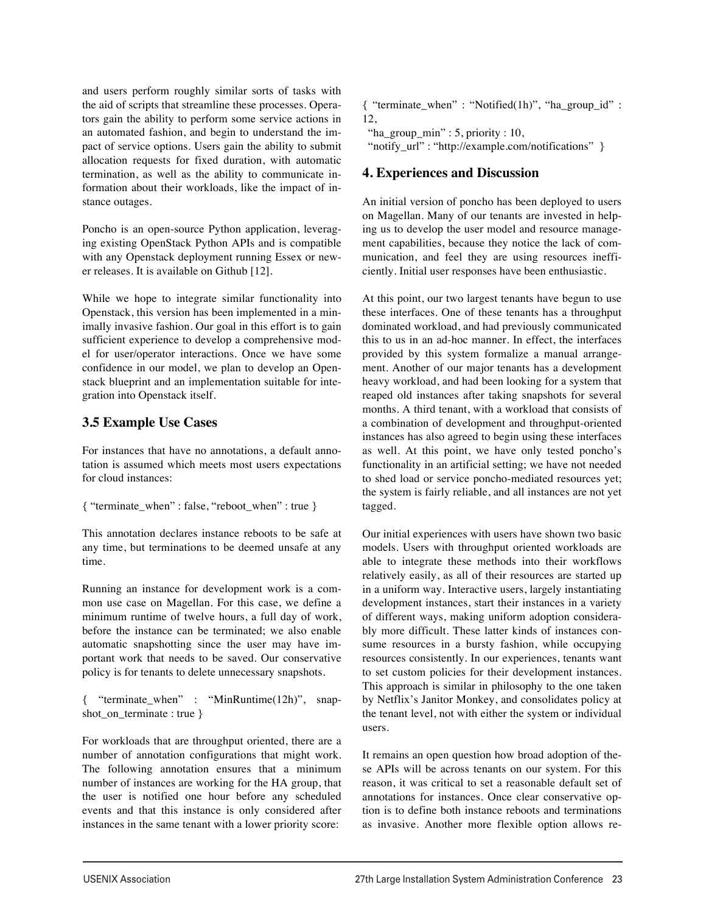and users perform roughly similar sorts of tasks with the aid of scripts that streamline these processes. Operators gain the ability to perform some service actions in an automated fashion, and begin to understand the impact of service options. Users gain the ability to submit allocation requests for fixed duration, with automatic termination, as well as the ability to communicate information about their workloads, like the impact of instance outages.

Poncho is an open-source Python application, leveraging existing OpenStack Python APIs and is compatible with any Openstack deployment running Essex or newer releases. It is available on Github [12].

While we hope to integrate similar functionality into Openstack, this version has been implemented in a minimally invasive fashion. Our goal in this effort is to gain sufficient experience to develop a comprehensive model for user/operator interactions. Once we have some confidence in our model, we plan to develop an Openstack blueprint and an implementation suitable for integration into Openstack itself.

# **3.5 Example Use Cases**

For instances that have no annotations, a default annotation is assumed which meets most users expectations for cloud instances:

```
{ "terminate_when" : false, "reboot_when" : true }
```
This annotation declares instance reboots to be safe at any time, but terminations to be deemed unsafe at any time.

Running an instance for development work is a common use case on Magellan. For this case, we define a minimum runtime of twelve hours, a full day of work, before the instance can be terminated; we also enable automatic snapshotting since the user may have important work that needs to be saved. Our conservative policy is for tenants to delete unnecessary snapshots.

{ "terminate\_when" : "MinRuntime(12h)", snapshot\_on\_terminate : true }

For workloads that are throughput oriented, there are a number of annotation configurations that might work. The following annotation ensures that a minimum number of instances are working for the HA group, that the user is notified one hour before any scheduled events and that this instance is only considered after instances in the same tenant with a lower priority score:

{ "terminate\_when" : "Notified(1h)", "ha\_group\_id" : 12,

 "ha\_group\_min" : 5, priority : 10, "notify\_url" : "http://example.com/notifications" }

# **4. Experiences and Discussion**

An initial version of poncho has been deployed to users on Magellan. Many of our tenants are invested in helping us to develop the user model and resource management capabilities, because they notice the lack of communication, and feel they are using resources inefficiently. Initial user responses have been enthusiastic.

At this point, our two largest tenants have begun to use these interfaces. One of these tenants has a throughput dominated workload, and had previously communicated this to us in an ad-hoc manner. In effect, the interfaces provided by this system formalize a manual arrangement. Another of our major tenants has a development heavy workload, and had been looking for a system that reaped old instances after taking snapshots for several months. A third tenant, with a workload that consists of a combination of development and throughput-oriented instances has also agreed to begin using these interfaces as well. At this point, we have only tested poncho's functionality in an artificial setting; we have not needed to shed load or service poncho-mediated resources yet; the system is fairly reliable, and all instances are not yet tagged.

Our initial experiences with users have shown two basic models. Users with throughput oriented workloads are able to integrate these methods into their workflows relatively easily, as all of their resources are started up in a uniform way. Interactive users, largely instantiating development instances, start their instances in a variety of different ways, making uniform adoption considerably more difficult. These latter kinds of instances consume resources in a bursty fashion, while occupying resources consistently. In our experiences, tenants want to set custom policies for their development instances. This approach is similar in philosophy to the one taken by Netflix's Janitor Monkey, and consolidates policy at the tenant level, not with either the system or individual users.

It remains an open question how broad adoption of these APIs will be across tenants on our system. For this reason, it was critical to set a reasonable default set of annotations for instances. Once clear conservative option is to define both instance reboots and terminations as invasive. Another more flexible option allows re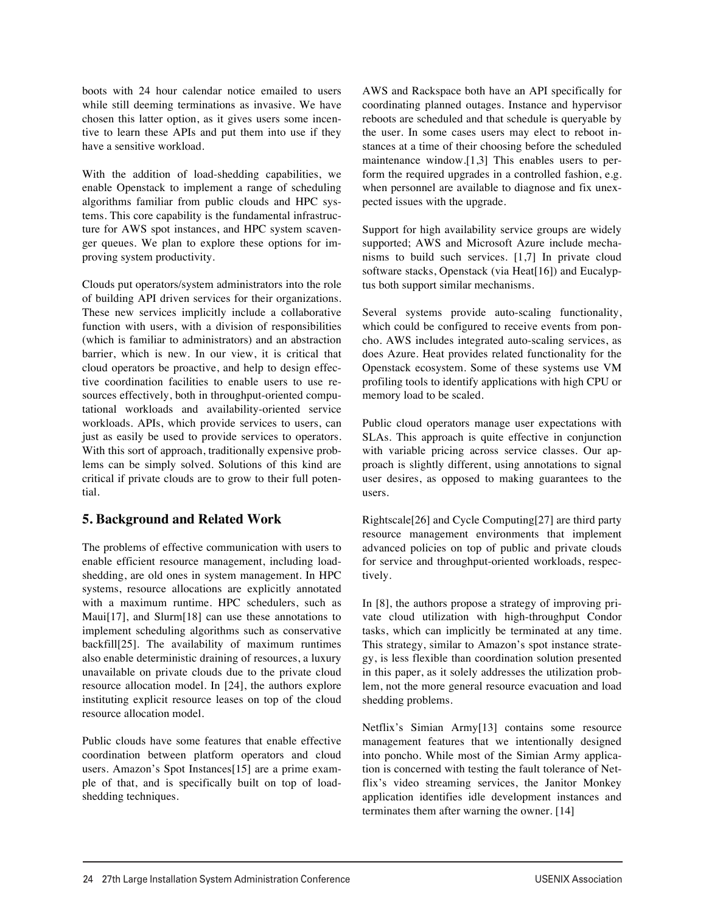boots with 24 hour calendar notice emailed to users while still deeming terminations as invasive. We have chosen this latter option, as it gives users some incentive to learn these APIs and put them into use if they have a sensitive workload.

With the addition of load-shedding capabilities, we enable Openstack to implement a range of scheduling algorithms familiar from public clouds and HPC systems. This core capability is the fundamental infrastructure for AWS spot instances, and HPC system scavenger queues. We plan to explore these options for improving system productivity.

Clouds put operators/system administrators into the role of building API driven services for their organizations. These new services implicitly include a collaborative function with users, with a division of responsibilities (which is familiar to administrators) and an abstraction barrier, which is new. In our view, it is critical that cloud operators be proactive, and help to design effective coordination facilities to enable users to use resources effectively, both in throughput-oriented computational workloads and availability-oriented service workloads. APIs, which provide services to users, can just as easily be used to provide services to operators. With this sort of approach, traditionally expensive problems can be simply solved. Solutions of this kind are critical if private clouds are to grow to their full potential.

#### **5. Background and Related Work**

The problems of effective communication with users to enable efficient resource management, including loadshedding, are old ones in system management. In HPC systems, resource allocations are explicitly annotated with a maximum runtime. HPC schedulers, such as Maui[17], and Slurm[18] can use these annotations to implement scheduling algorithms such as conservative backfill[25]. The availability of maximum runtimes also enable deterministic draining of resources, a luxury unavailable on private clouds due to the private cloud resource allocation model. In [24], the authors explore instituting explicit resource leases on top of the cloud resource allocation model.

Public clouds have some features that enable effective coordination between platform operators and cloud users. Amazon's Spot Instances[15] are a prime example of that, and is specifically built on top of loadshedding techniques.

AWS and Rackspace both have an API specifically for coordinating planned outages. Instance and hypervisor reboots are scheduled and that schedule is queryable by the user. In some cases users may elect to reboot instances at a time of their choosing before the scheduled maintenance window.[1,3] This enables users to perform the required upgrades in a controlled fashion, e.g. when personnel are available to diagnose and fix unexpected issues with the upgrade.

Support for high availability service groups are widely supported; AWS and Microsoft Azure include mechanisms to build such services. [1,7] In private cloud software stacks, Openstack (via Heat[16]) and Eucalyptus both support similar mechanisms.

Several systems provide auto-scaling functionality, which could be configured to receive events from poncho. AWS includes integrated auto-scaling services, as does Azure. Heat provides related functionality for the Openstack ecosystem. Some of these systems use VM profiling tools to identify applications with high CPU or memory load to be scaled.

Public cloud operators manage user expectations with SLAs. This approach is quite effective in conjunction with variable pricing across service classes. Our approach is slightly different, using annotations to signal user desires, as opposed to making guarantees to the users.

Rightscale[26] and Cycle Computing[27] are third party resource management environments that implement advanced policies on top of public and private clouds for service and throughput-oriented workloads, respectively.

In [8], the authors propose a strategy of improving private cloud utilization with high-throughput Condor tasks, which can implicitly be terminated at any time. This strategy, similar to Amazon's spot instance strategy, is less flexible than coordination solution presented in this paper, as it solely addresses the utilization problem, not the more general resource evacuation and load shedding problems.

Netflix's Simian Army[13] contains some resource management features that we intentionally designed into poncho. While most of the Simian Army application is concerned with testing the fault tolerance of Netflix's video streaming services, the Janitor Monkey application identifies idle development instances and terminates them after warning the owner. [14]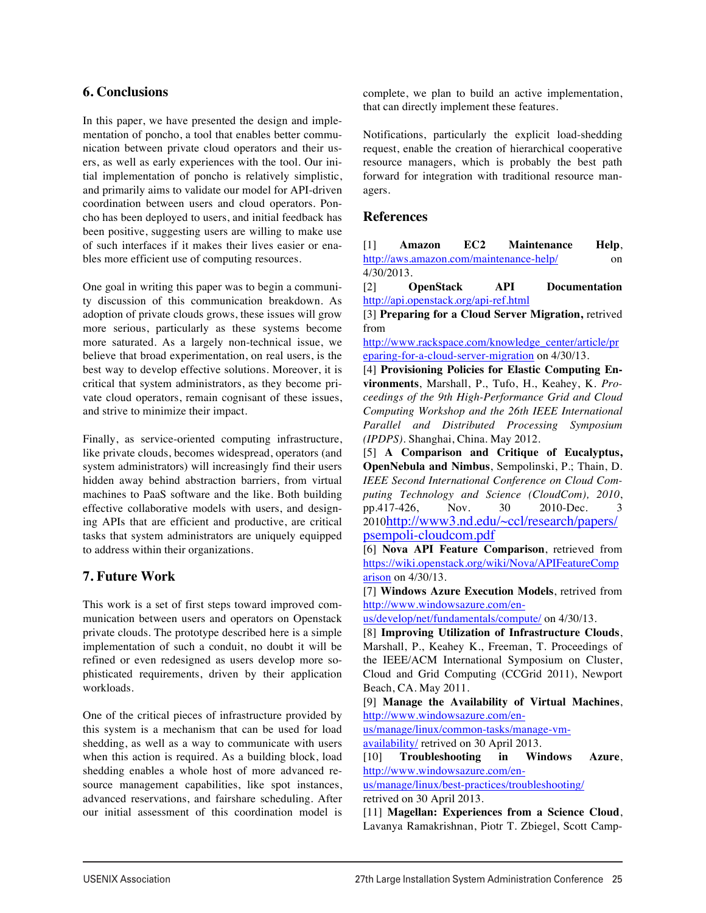### **6. Conclusions**

In this paper, we have presented the design and implementation of poncho, a tool that enables better communication between private cloud operators and their users, as well as early experiences with the tool. Our initial implementation of poncho is relatively simplistic, and primarily aims to validate our model for API-driven coordination between users and cloud operators. Poncho has been deployed to users, and initial feedback has been positive, suggesting users are willing to make use of such interfaces if it makes their lives easier or enables more efficient use of computing resources.

One goal in writing this paper was to begin a community discussion of this communication breakdown. As adoption of private clouds grows, these issues will grow more serious, particularly as these systems become more saturated. As a largely non-technical issue, we believe that broad experimentation, on real users, is the best way to develop effective solutions. Moreover, it is critical that system administrators, as they become private cloud operators, remain cognisant of these issues, and strive to minimize their impact.

Finally, as service-oriented computing infrastructure, like private clouds, becomes widespread, operators (and system administrators) will increasingly find their users hidden away behind abstraction barriers, from virtual machines to PaaS software and the like. Both building effective collaborative models with users, and designing APIs that are efficient and productive, are critical tasks that system administrators are uniquely equipped to address within their organizations.

# **7. Future Work**

This work is a set of first steps toward improved communication between users and operators on Openstack private clouds. The prototype described here is a simple implementation of such a conduit, no doubt it will be refined or even redesigned as users develop more sophisticated requirements, driven by their application workloads.

One of the critical pieces of infrastructure provided by this system is a mechanism that can be used for load shedding, as well as a way to communicate with users when this action is required. As a building block, load shedding enables a whole host of more advanced resource management capabilities, like spot instances, advanced reservations, and fairshare scheduling. After our initial assessment of this coordination model is complete, we plan to build an active implementation, that can directly implement these features.

Notifications, particularly the explicit load-shedding request, enable the creation of hierarchical cooperative resource managers, which is probably the best path forward for integration with traditional resource managers.

#### **References**

[1] **Amazon EC2 Maintenance Help**, http://aws.amazon.com/maintenance-help/ on 4/30/2013.

[2] **OpenStack API Documentation** http://api.openstack.org/api-ref.html

[3] **Preparing for a Cloud Server Migration,** retrived from

http://www.rackspace.com/knowledge\_center/article/pr eparing-for-a-cloud-server-migration on 4/30/13.

[4] **Provisioning Policies for Elastic Computing Environments**, Marshall, P., Tufo, H., Keahey, K. *Proceedings of the 9th High-Performance Grid and Cloud Computing Workshop and the 26th IEEE International Parallel and Distributed Processing Symposium (IPDPS)*. Shanghai, China. May 2012.

[5] **A Comparison and Critique of Eucalyptus, OpenNebula and Nimbus**, Sempolinski, P.; Thain, D. *IEEE Second International Conference on Cloud Computing Technology and Science (CloudCom), 2010*, pp.417-426, Nov. 30 2010-Dec. 3 2010http://www3.nd.edu/~ccl/research/papers/ psempoli-cloudcom.pdf

[6] **Nova API Feature Comparison**, retrieved from https://wiki.openstack.org/wiki/Nova/APIFeatureComp arison on 4/30/13.

[7] **Windows Azure Execution Models**, retrived from http://www.windowsazure.com/en-

us/develop/net/fundamentals/compute/ on 4/30/13.

[8] **Improving Utilization of Infrastructure Clouds**, Marshall, P., Keahey K., Freeman, T. Proceedings of the IEEE/ACM International Symposium on Cluster, Cloud and Grid Computing (CCGrid 2011), Newport Beach, CA. May 2011.

[9] **Manage the Availability of Virtual Machines**, http://www.windowsazure.com/en-

us/manage/linux/common-tasks/manage-vm-

availability/ retrived on 30 April 2013.

[10] **Troubleshooting in Windows Azure**, http://www.windowsazure.com/en-

us/manage/linux/best-practices/troubleshooting/ retrived on 30 April 2013.

[11] **Magellan: Experiences from a Science Cloud**, Lavanya Ramakrishnan, Piotr T. Zbiegel, Scott Camp